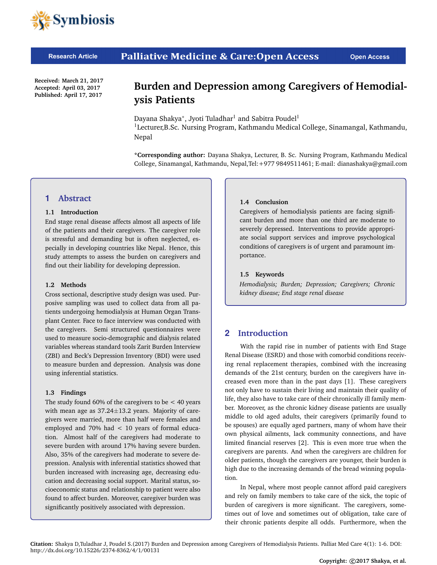

#### **Palliative Medicine & Care: Open Access Research Article**

**Received: March 21, 2017 Accepted: April 03, 2017 Published: April 17, 2017**

# **Burden and Depression among Caregivers of Hemodialysis Patients**

Dayana Shakya\*, Jyoti Tuladhar<sup>1</sup> and Sabitra Poudel<sup>1</sup> <sup>1</sup>Lecturer,B.Sc. Nursing Program, Kathmandu Medical College, Sinamangal, Kathmandu, Nepal

**\*Corresponding author:** Dayana Shakya, Lecturer, B. Sc. Nursing Program, Kathmandu Medical College, Sinamangal, Kathmandu, Nepal,Tel:+977 9849511461; [E-mail: dianashakya@gmail.com](mailto:dianashakya@gmail.com )

## **1 Abstract**

### **1.1 Introduction**

End stage renal disease affects almost all aspects of life of the patients and their caregivers. The caregiver role is stressful and demanding but is often neglected, especially in developing countries like Nepal. Hence, this study attempts to assess the burden on caregivers and find out their liability for developing depression.

### **1.2 Methods**

Cross sectional, descriptive study design was used. Purposive sampling was used to collect data from all patients undergoing hemodialysis at Human Organ Transplant Center. Face to face interview was conducted with the caregivers. Semi structured questionnaires were used to measure socio-demographic and dialysis related variables whereas standard tools Zarit Burden Interview (ZBI) and Beck's Depression Inventory (BDI) were used to measure burden and depression. Analysis was done using inferential statistics.

## **1.3 Findings**

The study found 60% of the caregivers to be  $<$  40 years with mean age as  $37.24 \pm 13.2$  years. Majority of caregivers were married, more than half were females and employed and 70% had < 10 years of formal education. Almost half of the caregivers had moderate to severe burden with around 17% having severe burden. Also, 35% of the caregivers had moderate to severe depression. Analysis with inferential statistics showed that burden increased with increasing age, decreasing education and decreasing social support. Marital status, socioeconomic status and relationship to patient were also found to affect burden. Moreover, caregiver burden was significantly positively associated with depression.

#### **1.4 Conclusion**

Caregivers of hemodialysis patients are facing significant burden and more than one third are moderate to severely depressed. Interventions to provide appropriate social support services and improve psychological conditions of caregivers is of urgent and paramount importance.

### **1.5 Keywords**

*Hemodialysis; Burden; Depression; Caregivers; Chronic kidney disease; End stage renal disease*

## **2 Introduction**

With the rapid rise in number of patients with End Stage Renal Disease (ESRD) and those with comorbid conditions receiving renal replacement therapies, combined with the increasing demands of the 21st century, burden on the caregivers have increased even more than in the past days [1]. These caregivers not only have to sustain their living and maintain their quality of life, they also have to take care of their chronically ill family member. Moreover, as the chronic kidney disease patients are usually middle to old aged adults, their caregivers (primarily found to be spouses) are equally aged partners, many of whom have their own physical ailments, lack community connections, and have limited financial reserves [2]. This is even more true when the caregivers are parents. And when the caregivers are children for older patients, though the caregivers are younger, their burden is high due to the increasing demands of the bread winning population.

In Nepal, where most people cannot afford paid caregivers and rely on family members to take care of the sick, the topic of burden of caregivers is more significant. The caregivers, sometimes out of love and sometimes out of obligation, take care of their chronic patients despite all odds. Furthermore, when the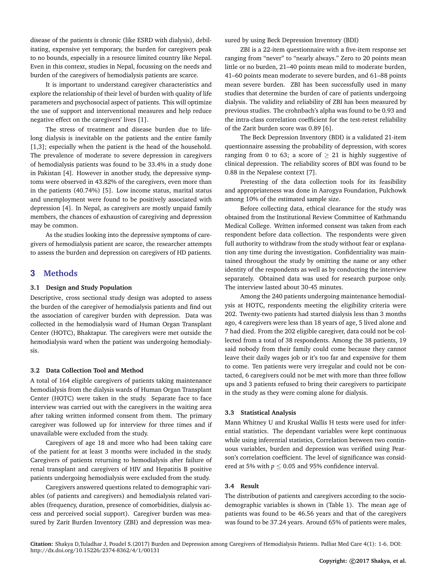disease of the patients is chronic (like ESRD with dialysis), debilitating, expensive yet temporary, the burden for caregivers peak to no bounds, especially in a resource limited country like Nepal. Even in this context, studies in Nepal, focussing on the needs and burden of the caregivers of hemodialysis patients are scarce.

It is important to understand caregiver characteristics and explore the relationship of their level of burden with quality of life parameters and psychosocial aspect of patients. This will optimize the use of support and interventional measures and help reduce negative effect on the caregivers' lives [1].

The stress of treatment and disease burden due to lifelong dialysis is inevitable on the patients and the entire family [1,3]; especially when the patient is the head of the household. The prevalence of moderate to severe depression in caregivers of hemodialysis patients was found to be 33.4% in a study done in Pakistan [4]. However in another study, the depressive symptoms were observed in 43.82% of the caregivers, even more than in the patients (40.74%) [5]. Low income status, marital status and unemployment were found to be positively associated with depression [4]. In Nepal, as caregivers are mostly unpaid family members, the chances of exhaustion of caregiving and depression may be common.

As the studies looking into the depressive symptoms of caregivers of hemodialysis patient are scarce, the researcher attempts to assess the burden and depression on caregivers of HD patients.

## **3 Methods**

#### **3.1 Design and Study Population**

Descriptive, cross sectional study design was adopted to assess the burden of the caregiver of hemodialysis patients and find out the association of caregiver burden with depression. Data was collected in the hemodialysis ward of Human Organ Transplant Center (HOTC), Bhaktapur. The caregivers were met outside the hemodialysis ward when the patient was undergoing hemodialysis.

#### **3.2 Data Collection Tool and Method**

A total of 164 eligible caregivers of patients taking maintenance hemodialysis from the dialysis wards of Human Organ Transplant Center (HOTC) were taken in the study. Separate face to face interview was carried out with the caregivers in the waiting area after taking written informed consent from them. The primary caregiver was followed up for interview for three times and if unavailable were excluded from the study.

Caregivers of age 18 and more who had been taking care of the patient for at least 3 months were included in the study. Caregivers of patients returning to hemodialysis after failure of renal transplant and caregivers of HIV and Hepatitis B positive patients undergoing hemodialysis were excluded from the study.

Caregivers answered questions related to demographic variables (of patients and caregivers) and hemodialysis related variables (frequency, duration, presence of comorbidities, dialysis access and perceived social support). Caregiver burden was measured by Zarit Burden Inventory (ZBI) and depression was measured by using Beck Depression Inventory (BDI)

ZBI is a 22-item questionnaire with a five-item response set ranging from "never" to "nearly always." Zero to 20 points mean little or no burden, 21–40 points mean mild to moderate burden, 41–60 points mean moderate to severe burden, and 61–88 points mean severe burden. ZBI has been successfully used in many studies that determine the burden of care of patients undergoing dialysis. The validity and reliability of ZBI has been measured by previous studies. The crohnbach's alpha was found to be 0.93 and the intra-class correlation coefficient for the test-retest reliability of the Zarit burden score was 0.89 [6].

The Beck Depression Inventory (BDI) is a validated 21-item questionnaire assessing the probability of depression, with scores ranging from 0 to 63; a score of  $\geq$  21 is highly suggestive of clinical depression. The reliability scores of BDI was found to be 0.88 in the Nepalese context [7].

Pretesting of the data collection tools for its feasibility and appropriateness was done in Aarogya Foundation, Pulchowk among 10% of the estimated sample size.

Before collecting data, ethical clearance for the study was obtained from the Institutional Review Committee of Kathmandu Medical College. Written informed consent was taken from each respondent before data collection. The respondents were given full authority to withdraw from the study without fear or explanation any time during the investigation. Confidentiality was maintained throughout the study by omitting the name or any other identity of the respondents as well as by conducting the interview separately. Obtained data was used for research purpose only. The interview lasted about 30-45 minutes.

Among the 240 patients undergoing maintenance hemodialysis at HOTC, respondents meeting the eligibility criteria were 202. Twenty-two patients had started dialysis less than 3 months ago, 4 caregivers were less than 18 years of age, 5 lived alone and 7 had died. From the 202 eligible caregiver, data could not be collected from a total of 38 respondents. Among the 38 patients, 19 said nobody from their family could come because they cannot leave their daily wages job or it's too far and expensive for them to come. Ten patients were very irregular and could not be contacted, 6 caregivers could not be met with more than three follow ups and 3 patients refused to bring their caregivers to participate in the study as they were coming alone for dialysis.

#### **3.3 Statistical Analysis**

Mann Whitney U and Kruskal Wallis H tests were used for inferential statistics. The dependant variables were kept continuous while using inferential statistics, Correlation between two continuous variables, burden and depression was verified using Pearson's correlation coefficient. The level of significance was considered at 5% with  $p \le 0.05$  and 95% confidence interval.

#### **3.4 Result**

The distribution of patients and caregivers according to the sociodemographic variables is shown in (Table 1). The mean age of patients was found to be 46.56 years and that of the caregivers was found to be 37.24 years. Around 65% of patients were males,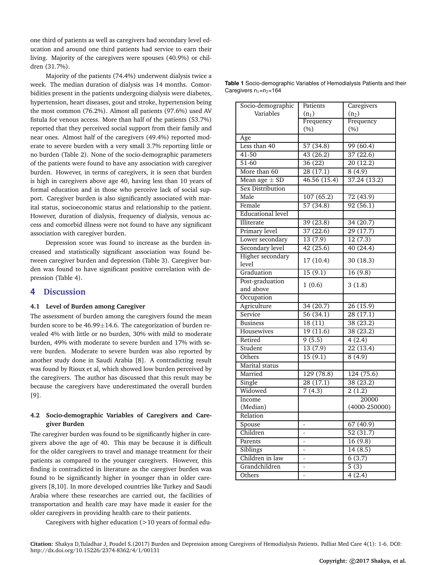one third of patients as well as caregivers had secondary level education and around one third patients had service to earn their living. Majority of the caregivers were spouses (40.9%) or children (31.7%).

Majority of the patients (74.4%) underwent dialysis twice a week. The median duration of dialysis was 14 months. Comorbidities present in the patients undergoing dialysis were diabetes, hypertension, heart diseases, gout and stroke, hypertension being the most common (76.2%). Almost all patients (97.6%) used AV fistula for venous access. More than half of the patients (53.7%) reported that they perceived social support from their family and near ones. Almost half of the caregivers (49.4%) reported moderate to severe burden with a very small 3.7% reporting little or no burden (Table 2). None of the socio-demographic parameters of the patients were found to have any association with caregiver burden. However, in terms of caregivers, it is seen that burden is high in caregivers above age 40, having less than 10 years of formal education and in those who perceive lack of social support. Caregiver burden is also significantly associated with marital status, socioeconomic status and relationship to the patient. However, duration of dialysis, frequency of dialysis, venous access and comorbid illness were not found to have any significant association with caregiver burden.

Depression score was found to increase as the burden increased and statistically significant association was found between caregiver burden and depression (Table 3). Caregiver burden was found to have significant positive correlation with depression (Table 4).

## **4 Discussion**

#### **4.1 Level of Burden among Caregiver**

The assessment of burden among the caregivers found the mean burden score to be 46.99±14.6. The categorization of burden revealed 4% with little or no burden, 30% with mild to moderate burden, 49% with moderate to severe burden and 17% with severe burden. Moderate to severe burden was also reported by another study done in Saudi Arabia [8]. A contradicting result was found by Rioux et al, which showed low burden perceived by the caregivers. The author has discussed that this result may be because the caregivers have underestimated the overall burden [9].

## **4.2 Socio-demographic Variables of Caregivers and Caregiver Burden**

The caregiver burden was found to be significantly higher in caregivers above the age of 40. This may be because it is difficult for the older caregivers to travel and manage treatment for their patients as compared to the younger caregivers. However, this finding is contradicted in literature as the caregiver burden was found to be significantly higher in younger than in older caregivers [8,10]. In more developed countries like Turkey and Saudi Arabia where these researches are carried out, the facilities of transportation and health care may have made it easier for the older caregivers in providing health care to their patients.

Caregivers with higher education (>10 years of formal edu-

**Table 1** Socio-demographic Variables of Hemodialysis Patients and their Caregivers  $n_1=n_2=164$ 

| Socio-demographic        | Patients    | Caregivers             |
|--------------------------|-------------|------------------------|
| Variables                | $(n_1)$     | (n <sub>2</sub> )      |
|                          | Frequency   | Frequency              |
|                          | $(\% )$     | (%)                    |
| Age                      |             |                        |
| Less than 40             | 57(34.8)    | 99(60.4)               |
| 41-50                    | 43(26.2)    | 37(22.6)               |
| $51-60$                  | 36(22)      | 20(12.2)               |
| More than 60             | 28(17.1)    | 8(4.9)                 |
| Mean age $\pm$ SD        | 46.56(15.4) | 37.24(13.2)            |
| <b>Sex Distribution</b>  |             |                        |
| Male                     | 107(65.2)   | 72 (43.9)              |
| Female                   | 57(34.8)    | 92(56.1)               |
| <b>Educational level</b> |             |                        |
| Illiterate               | 39(23.8)    | 34(20.7)               |
| Primary level            | 37(22.6)    | 29 (17.7)              |
| Lower secondary          | 13(7.9)     | 12(7.3)                |
| Secondary level          | 42(25.6)    | 40(24.4)               |
| <b>Higher</b> secondary  |             |                        |
| level                    | 17 (10.4)   | 30 (18.3)              |
| Graduation               | 15(9.1)     | 16 (9.8)               |
| Post-graduation          | 1(0.6)      | 3(1.8)                 |
| and above                |             |                        |
| Occupation               |             |                        |
| Agriculture              | 34(20.7)    | 26(15.9)               |
| Service                  | 56(34.1)    | 28(17.1)               |
| <b>Business</b>          | 18(11)      | 38(23.2)               |
| Housewives               | 19(11.6)    | 38(23.2)               |
| Retired                  | 9(5.5)      | 4(2.4)                 |
| Student                  | 13(7.9)     | 22(13.4)               |
| Others                   | 15(9.1)     | 8(4.9)                 |
| Marital status           |             |                        |
| Married                  | 129 (78.8)  | 124(75.6)              |
| Single                   | 28(17.1)    | 38(23.2)               |
| Widowed                  | 7(4.3)      | 2(1.2)                 |
| Income                   |             | 20000                  |
| (Median)                 |             | $(4000 - 250000)$      |
| Relation                 |             |                        |
| Spouse                   |             | $\overline{67}$ (40.9) |
| Children                 |             | 52 (31.7)              |
| Parents                  |             | 16 (9.8)               |
| Siblings                 |             | 14(8.5)                |
| Children in law          | -           | 6(3.7)                 |
| Grandchildren            | -           | 5(3)                   |
| Others                   |             | 4(2.4)                 |

**Citation:** Shakya D,Tuladhar J, Poudel S.(2017) Burden and Depression among Caregivers of Hemodialysis Patients. Palliat Med Care 4(1): 1-6. DOI: http://dx.doi.org/10.15226/2374-8362/4/1/00131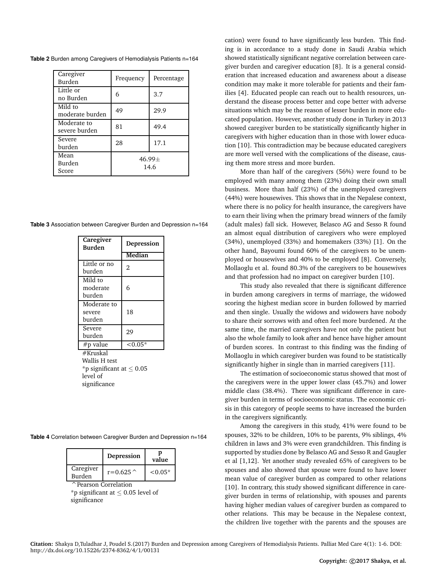| Caregiver<br>Burden          | Frequency        | Percentage |
|------------------------------|------------------|------------|
| Little or<br>no Burden       | 6                | 3.7        |
| Mild to<br>moderate burden   | 49               | 29.9       |
| Moderate to<br>severe burden | 81               | 49.4       |
| Severe<br>burden             | 28               | 17.1       |
| Mean<br>Burden<br>Score      | $46.99+$<br>14.6 |            |

**Table 2** Burden among Caregivers of Hemodialysis Patients n=164

**Table 3** Association between Caregiver Burden and Depression n=164

| Caregiver<br><b>Burden</b>    | Depression     |  |  |  |
|-------------------------------|----------------|--|--|--|
|                               | Median         |  |  |  |
| Little or no                  | $\overline{2}$ |  |  |  |
| burden                        |                |  |  |  |
| Mild to                       |                |  |  |  |
| moderate                      | 6              |  |  |  |
| burden                        |                |  |  |  |
| Moderate to                   |                |  |  |  |
| severe                        | 18             |  |  |  |
| burden                        |                |  |  |  |
| Severe                        | 29             |  |  |  |
| burden                        |                |  |  |  |
| #p value                      | $< 0.05*$      |  |  |  |
| #Kruskal                      |                |  |  |  |
| Wallis H test                 |                |  |  |  |
| *p significant at $\leq 0.05$ |                |  |  |  |
| level of                      |                |  |  |  |
| significance                  |                |  |  |  |

|                            | Depression  | D<br>value |
|----------------------------|-------------|------------|
| Caregiver<br><b>Burden</b> | $r = 0.625$ | $< 0.05*$  |
| ↑ Pearson Correlation      |             |            |

\*p significant at  $\leq$  0.05 level of significance

cation) were found to have significantly less burden. This finding is in accordance to a study done in Saudi Arabia which showed statistically significant negative correlation between caregiver burden and caregiver education [8]. It is a general consideration that increased education and awareness about a disease condition may make it more tolerable for patients and their families [4]. Educated people can reach out to health resources, understand the disease process better and cope better with adverse situations which may be the reason of lesser burden in more educated population. However, another study done in Turkey in 2013 showed caregiver burden to be statistically significantly higher in caregivers with higher education than in those with lower education [10]. This contradiction may be because educated caregivers are more well versed with the complications of the disease, causing them more stress and more burden.

More than half of the caregivers (56%) were found to be employed with many among them (23%) doing their own small business. More than half (23%) of the unemployed caregivers (44%) were housewives. This shows that in the Nepalese context, where there is no policy for health insurance, the caregivers have to earn their living when the primary bread winners of the family (adult males) fall sick. However, Belasco AG and Sesso R found an almost equal distribution of caregivers who were employed (34%), unemployed (33%) and homemakers (33%) [1]. On the other hand, Bayoumi found 60% of the caregivers to be unemployed or housewives and 40% to be employed [8]. Conversely, Mollaoglu et al. found 80.3% of the caregivers to be housewives and that profession had no impact on caregiver burden [10].

This study also revealed that there is significant difference in burden among caregivers in terms of marriage, the widowed scoring the highest median score in burden followed by married and then single. Usually the widows and widowers have nobody to share their sorrows with and often feel more burdened. At the same time, the married caregivers have not only the patient but also the whole family to look after and hence have higher amount of burden scores. In contrast to this finding was the finding of Mollaoglu in which caregiver burden was found to be statistically significantly higher in single than in married caregivers [11].

The estimation of socioeconomic status showed that most of the caregivers were in the upper lower class (45.7%) and lower middle class (38.4%). There was significant difference in caregiver burden in terms of socioeconomic status. The economic crisis in this category of people seems to have increased the burden in the caregivers significantly.

Among the caregivers in this study, 41% were found to be spouses, 32% to be children, 10% to be parents, 9% siblings, 4% children in laws and 3% were even grandchildren. This finding is supported by studies done by Belasco AG and Sesso R and Gaugler et al [1,12]. Yet another study revealed 65% of caregivers to be spouses and also showed that spouse were found to have lower mean value of caregiver burden as compared to other relations [10]. In contrary, this study showed significant difference in caregiver burden in terms of relationship, with spouses and parents having higher median values of caregiver burden as compared to other relations. This may be because in the Nepalese context, the children live together with the parents and the spouses are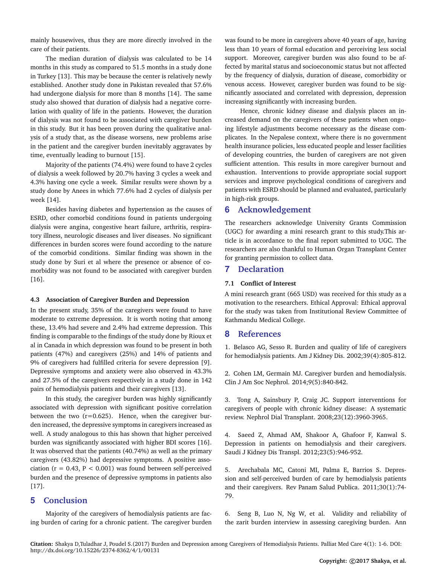mainly housewives, thus they are more directly involved in the care of their patients.

The median duration of dialysis was calculated to be 14 months in this study as compared to 51.5 months in a study done in Turkey [13]. This may be because the center is relatively newly established. Another study done in Pakistan revealed that 57.6% had undergone dialysis for more than 8 months [14]. The same study also showed that duration of dialysis had a negative correlation with quality of life in the patients. However, the duration of dialysis was not found to be associated with caregiver burden in this study. But it has been proven during the qualitative analysis of a study that, as the disease worsens, new problems arise in the patient and the caregiver burden inevitably aggravates by time, eventually leading to burnout [15].

Majority of the patients (74.4%) were found to have 2 cycles of dialysis a week followed by 20.7% having 3 cycles a week and 4.3% having one cycle a week. Similar results were shown by a study done by Anees in which 77.6% had 2 cycles of dialysis per week [14].

Besides having diabetes and hypertension as the causes of ESRD, other comorbid conditions found in patients undergoing dialysis were angina, congestive heart failure, arthritis, respiratory illness, neurologic diseases and liver diseases. No significant differences in burden scores were found according to the nature of the comorbid conditions. Similar finding was shown in the study done by Suri et al where the presence or absence of comorbidity was not found to be associated with caregiver burden [16].

#### **4.3 Association of Caregiver Burden and Depression**

In the present study, 35% of the caregivers were found to have moderate to extreme depression. It is worth noting that among these, 13.4% had severe and 2.4% had extreme depression. This finding is comparable to the findings of the study done by Rioux et al in Canada in which depression was found to be present in both patients (47%) and caregivers (25%) and 14% of patients and 9% of caregivers had fulfilled criteria for severe depression [9]. Depressive symptoms and anxiety were also observed in 43.3% and 27.5% of the caregivers respectively in a study done in 142 pairs of hemodialysis patients and their caregivers [13].

In this study, the caregiver burden was highly significantly associated with depression with significant positive correlation between the two  $(r=0.625)$ . Hence, when the caregiver burden increased, the depressive symptoms in caregivers increased as well. A study analogous to this has shown that higher perceived burden was significantly associated with higher BDI scores [16]. It was observed that the patients (40.74%) as well as the primary caregivers (43.82%) had depressive symptoms. A positive association ( $r = 0.43$ ,  $P < 0.001$ ) was found between self-perceived burden and the presence of depressive symptoms in patients also [17].

## **5 Conclusion**

Majority of the caregivers of hemodialysis patients are facing burden of caring for a chronic patient. The caregiver burden was found to be more in caregivers above 40 years of age, having less than 10 years of formal education and perceiving less social support. Moreover, caregiver burden was also found to be affected by marital status and socioeconomic status but not affected by the frequency of dialysis, duration of disease, comorbidity or venous access. However, caregiver burden was found to be significantly associated and correlated with depression, depression increasing significantly with increasing burden.

Hence, chronic kidney disease and dialysis places an increased demand on the caregivers of these patients when ongoing lifestyle adjustments become necessary as the disease complicates. In the Nepalese context, where there is no government health insurance policies, less educated people and lesser facilities of developing countries, the burden of caregivers are not given sufficient attention. This results in more caregiver burnout and exhaustion. Interventions to provide appropriate social support services and improve psychological conditions of caregivers and patients with ESRD should be planned and evaluated, particularly in high-risk groups.

## **6 Acknowledgement**

The researchers acknowledge University Grants Commission (UGC) for awarding a mini research grant to this study.This article is in accordance to the final report submitted to UGC. The researchers are also thankful to Human Organ Transplant Center for granting permission to collect data.

## **7 Declaration**

#### **7.1 Conflict of Interest**

A mini research grant (665 USD) was received for this study as a motivation to the researchers. Ethical Approval: Ethical approval for the study was taken from Institutional Review Committee of Kathmandu Medical College.

## **8 References**

[1. Belasco AG, Sesso R. Burden and quality of life of caregivers](https://www.ncbi.nlm.nih.gov/pubmed/11920347) [for hemodialysis patients. Am J Kidney Dis. 2002;39\(4\):805-812.](https://www.ncbi.nlm.nih.gov/pubmed/11920347)

[2. Cohen LM, Germain MJ. Caregiver burden and hemodialysis.](http://cjasn.asnjournals.org/content/early/2014/04/09/CJN.02690314.full) [Clin J Am Soc Nephrol. 2014;9\(5\):840-842.](http://cjasn.asnjournals.org/content/early/2014/04/09/CJN.02690314.full)

[3. Tong A, Sainsbury P, Craig JC. Support interventions for](https://www.ncbi.nlm.nih.gov/pubmed/18658178) [caregivers of people with chronic kidney disease: A systematic](https://www.ncbi.nlm.nih.gov/pubmed/18658178) [review. Nephrol Dial Transplant. 2008;23\(12\):3960-3965.](https://www.ncbi.nlm.nih.gov/pubmed/18658178)

[4. Saeed Z, Ahmad AM, Shakoor A, Ghafoor F, Kanwal S.](https://www.ncbi.nlm.nih.gov/pubmed/22982905) [Depression in patients on hemodialysis and their caregivers.](https://www.ncbi.nlm.nih.gov/pubmed/22982905) [Saudi J Kidney Dis Transpl. 2012;23\(5\):946-952.](https://www.ncbi.nlm.nih.gov/pubmed/22982905)

[5. Arechabala MC, Catoni MI, Palma E, Barrios S. Depres](https://www.ncbi.nlm.nih.gov/pubmed/22159654)[sion and self-perceived burden of care by hemodialysis patients](https://www.ncbi.nlm.nih.gov/pubmed/22159654) [and their caregivers. Rev Panam Salud Publica. 2011;30\(1\):74-](https://www.ncbi.nlm.nih.gov/pubmed/22159654) [79.](https://www.ncbi.nlm.nih.gov/pubmed/22159654)

6. Seng B, Luo N, Ng W, et al. Validity and reliability of the zarit burden interview in assessing caregiving burden. Ann